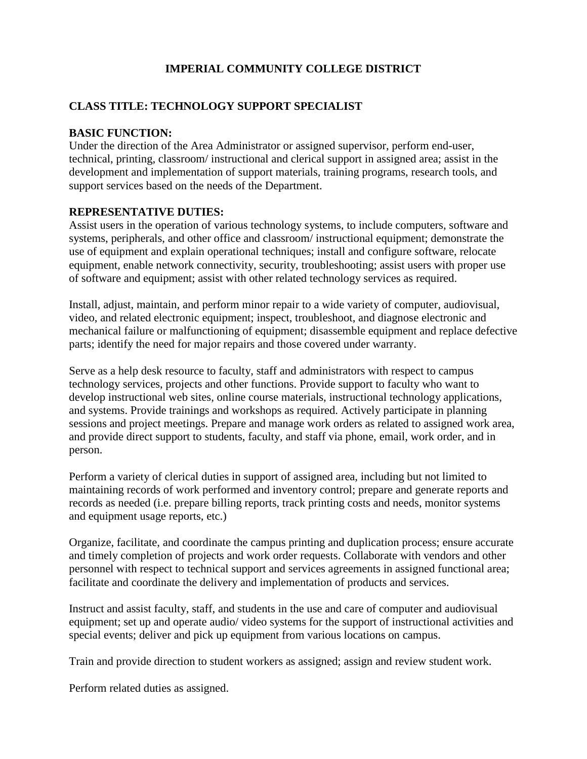# **IMPERIAL COMMUNITY COLLEGE DISTRICT**

#### **CLASS TITLE: TECHNOLOGY SUPPORT SPECIALIST**

#### **BASIC FUNCTION:**

Under the direction of the Area Administrator or assigned supervisor, perform end-user, technical, printing, classroom/ instructional and clerical support in assigned area; assist in the development and implementation of support materials, training programs, research tools, and support services based on the needs of the Department.

#### **REPRESENTATIVE DUTIES:**

Assist users in the operation of various technology systems, to include computers, software and systems, peripherals, and other office and classroom/ instructional equipment; demonstrate the use of equipment and explain operational techniques; install and configure software, relocate equipment, enable network connectivity, security, troubleshooting; assist users with proper use of software and equipment; assist with other related technology services as required.

Install, adjust, maintain, and perform minor repair to a wide variety of computer, audiovisual, video, and related electronic equipment; inspect, troubleshoot, and diagnose electronic and mechanical failure or malfunctioning of equipment; disassemble equipment and replace defective parts; identify the need for major repairs and those covered under warranty.

Serve as a help desk resource to faculty, staff and administrators with respect to campus technology services, projects and other functions. Provide support to faculty who want to develop instructional web sites, online course materials, instructional technology applications, and systems. Provide trainings and workshops as required. Actively participate in planning sessions and project meetings. Prepare and manage work orders as related to assigned work area, and provide direct support to students, faculty, and staff via phone, email, work order, and in person.

Perform a variety of clerical duties in support of assigned area, including but not limited to maintaining records of work performed and inventory control; prepare and generate reports and records as needed (i.e. prepare billing reports, track printing costs and needs, monitor systems and equipment usage reports, etc.)

Organize, facilitate, and coordinate the campus printing and duplication process; ensure accurate and timely completion of projects and work order requests. Collaborate with vendors and other personnel with respect to technical support and services agreements in assigned functional area; facilitate and coordinate the delivery and implementation of products and services.

Instruct and assist faculty, staff, and students in the use and care of computer and audiovisual equipment; set up and operate audio/ video systems for the support of instructional activities and special events; deliver and pick up equipment from various locations on campus.

Train and provide direction to student workers as assigned; assign and review student work.

Perform related duties as assigned.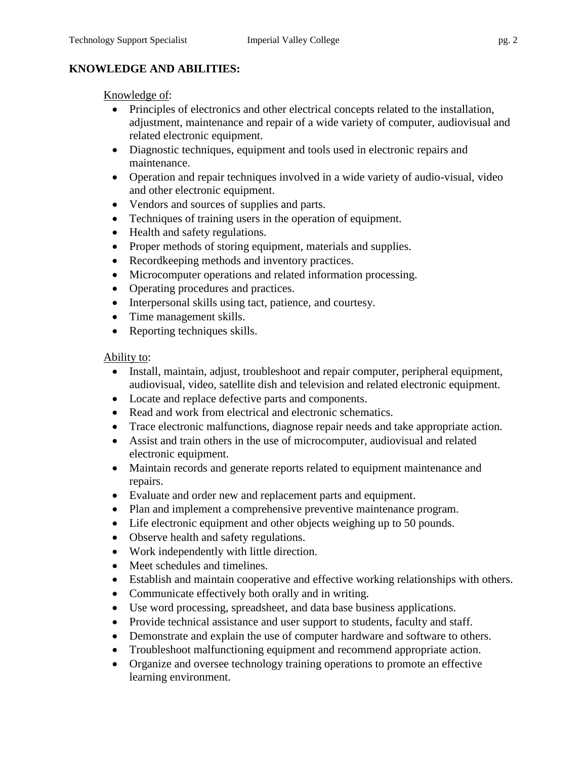# **KNOWLEDGE AND ABILITIES:**

## Knowledge of:

- Principles of electronics and other electrical concepts related to the installation, adjustment, maintenance and repair of a wide variety of computer, audiovisual and related electronic equipment.
- Diagnostic techniques, equipment and tools used in electronic repairs and maintenance.
- Operation and repair techniques involved in a wide variety of audio-visual, video and other electronic equipment.
- Vendors and sources of supplies and parts.
- Techniques of training users in the operation of equipment.
- Health and safety regulations.
- Proper methods of storing equipment, materials and supplies.
- Recordkeeping methods and inventory practices.
- Microcomputer operations and related information processing.
- Operating procedures and practices.
- Interpersonal skills using tact, patience, and courtesy.
- Time management skills.
- Reporting techniques skills.

## Ability to:

- Install, maintain, adjust, troubleshoot and repair computer, peripheral equipment, audiovisual, video, satellite dish and television and related electronic equipment.
- Locate and replace defective parts and components.
- Read and work from electrical and electronic schematics.
- Trace electronic malfunctions, diagnose repair needs and take appropriate action.
- Assist and train others in the use of microcomputer, audiovisual and related electronic equipment.
- Maintain records and generate reports related to equipment maintenance and repairs.
- Evaluate and order new and replacement parts and equipment.
- Plan and implement a comprehensive preventive maintenance program.
- Life electronic equipment and other objects weighing up to 50 pounds.
- Observe health and safety regulations.
- Work independently with little direction.
- Meet schedules and timelines.
- Establish and maintain cooperative and effective working relationships with others.
- Communicate effectively both orally and in writing.
- Use word processing, spreadsheet, and data base business applications.
- Provide technical assistance and user support to students, faculty and staff.
- Demonstrate and explain the use of computer hardware and software to others.
- Troubleshoot malfunctioning equipment and recommend appropriate action.
- Organize and oversee technology training operations to promote an effective learning environment.